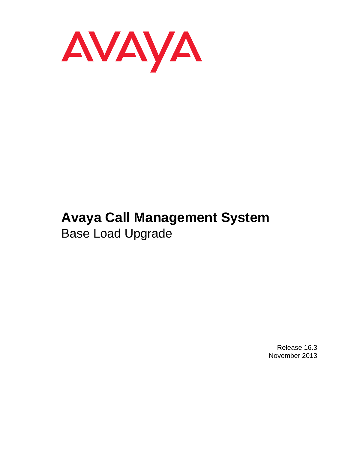

# **Avaya Call Management System** Base Load Upgrade

Release 16.3 November 2013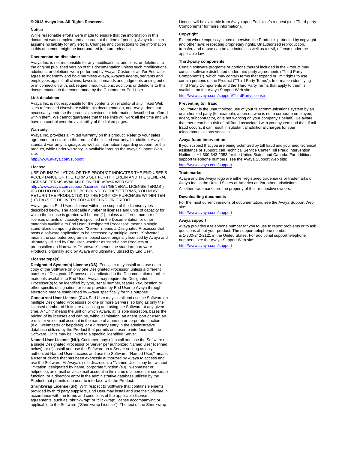#### **© 2013 Avaya Inc. All Rights Reserved.**

#### **Notice**

While reasonable efforts were made to ensure that the information in this document was complete and accurate at the time of printing, Avaya Inc. can assume no liability for any errors. Changes and corrections to the information in this document might be incorporated in future releases.

#### **Documentation disclaimer**

Avaya Inc. is not responsible for any modifications, additions, or deletions to the original published version of this documentation unless such modifications, additions, or deletions were performed by Avaya. Customer and/or End User agree to indemnify and hold harmless Avaya, Avaya's agents, servants and employees against all claims, lawsuits, demands and judgments arising out of, or in connection with, subsequent modifications, additions or deletions to this documentation to the extent made by the Customer or End User.

#### **Link disclaimer**

Avaya Inc. is not responsible for the contents or reliability of any linked Web sites referenced elsewhere within this documentation, and Avaya does not necessarily endorse the products, services, or information described or offered within them. We cannot guarantee that these links will work all the time and we have no control over the availability of the linked pages.

#### **Warranty**

Avaya Inc. provides a limited warranty on this product. Refer to your sales agreement to establish the terms of the limited warranty. In addition, Avaya's standard warranty language, as well as information regarding support for this product, while under warranty, is available through the Avaya Support Web site:

<http://www.avaya.com/support>

#### **License**

USE OR INSTALLATION OF THE PRODUCT INDICATES THE END USER'S ACCEPTANCE OF THE TERMS SET FORTH HEREIN AND THE GENERAL

LICENSE TERMS AVAILABLE ON THE AVAYA WEB SITE<br><u>http://www.avaya.com/support/LicenseInfo</u> ("GENERAL LICENSE TERMS").<br>IF YOU DO NOT WISH TO BE BOUND BY THESE TERMS, YOU MUST RETURN THE PRODUCT(S) TO THE POINT OF PURCHASE WITHIN TEN (10) DAYS OF DELIVERY FOR A REFUND OR CREDIT.

Avaya grants End User a license within the scope of the license types described below. The applicable number of licenses and units of capacity for which the license is granted will be one (1), unless a different number of licenses or units of capacity is specified in the Documentation or other materials available to End User. "Designated Processor" means a single stand-alone computing device. "Server" means a Designated Processor that hosts a software application to be accessed by multiple users. "Software" means the computer programs in object code, originally licensed by Avaya and ultimately utilized by End User, whether as stand-alone Products or pre-installed on Hardware. "Hardware" means the standard hardware Products, originally sold by Avaya and ultimately utilized by End User.

#### **License type(s)**

**Designated System(s) License (DS).** End User may install and use each copy of the Software on only one Designated Processor, unless a different number of Designated Processors is indicated in the Documentation or other materials available to End User. Avaya may require the Designated Processor(s) to be identified by type, serial number, feature key, location or other specific designation, or to be provided by End User to Avaya through electronic means established by Avaya specifically for this purpose.

**Concurrent User License (CU).** End User may install and use the Software on multiple Designated Processors or one or more Servers, so long as only the licensed number of Units are accessing and using the Software at any given time. A "Unit" means the unit on which Avaya, at its sole discretion, bases the pricing of its licenses and can be, without limitation, an agent, port or user, an e-mail or voice mail account in the name of a person or corporate function (e.g., webmaster or helpdesk), or a directory entry in the administrative database utilized by the Product that permits one user to interface with the Software. Units may be linked to a specific, identified Server.

**Named User License (NU).** Customer may: (i) install and use the Software on a single Designated Processor or Server per authorized Named User (defined below); or (ii) install and use the Software on a Server so long as only authorized Named Users access and use the Software. "Named User," means a user or device that has been expressly authorized by Avaya to access and use the Software. At Avaya's sole discretion, a "Named User" may be, without limitation, designated by name, corporate function (e.g., webmaster or helpdesk), an e-mail or voice mail account in the name of a person or corporate function, or a directory entry in the administrative database utilized by the Product that permits one user to interface with the Product.

**Shrinkwrap License (SR).** With respect to Software that contains elements provided by third party suppliers, End User may install and use the Software in accordance with the terms and conditions of the applicable license agreements, such as "shrinkwrap" or "clickwrap" license accompanying or applicable to the Software ("Shrinkwrap License"). The text of the Shrinkwrap

License will be available from Avaya upon End User's request (see "Third-party Components" for more information).

#### **Copyright**

Except where expressly stated otherwise, the Product is protected by copyright and other laws respecting proprietary rights. Unauthorized reproduction, transfer, and or use can be a criminal, as well as a civil, offense under the applicable law.

#### **Third-party components**

Certain software programs or portions thereof included in the Product may contain software distributed under third party agreements ("Third Party Components"), which may contain terms that expand or limit rights to use certain portions of the Product ("Third Party Terms"). Information identifying Third Party Components and the Third Party Terms that apply to them is available on the Avaya Support Web site:

<http://www.avaya.com/support/ThirdPartyLicense>

#### **Preventing toll fraud**

"Toll fraud" is the unauthorized use of your telecommunications system by an unauthorized party (for example, a person who is not a corporate employee, agent, subcontractor, or is not working on your company's behalf). Be aware that there can be a risk of toll fraud associated with your system and that, if toll fraud occurs, it can result in substantial additional charges for your telecommunications services.

#### **Avaya fraud intervention**

If you suspect that you are being victimized by toll fraud and you need technical assistance or support, call Technical Service Center Toll Fraud Intervention Hotline at +1-800-643-2353 for the United States and Canada. For additional support telephone numbers, see the Avaya Support Web site:

<http://www.avaya.com/support>

#### **Trademarks**

Avaya and the Avaya logo are either registered trademarks or trademarks of Avaya Inc. in the United States of America and/or other jurisdictions. All other trademarks are the property of their respective owners.

#### **Downloading documents**

For the most current versions of documentation, see the Avaya Support Web site:

[http://www.avaya.com/support](http://www.avaya.com/support/)

#### **Avaya support**

Avaya provides a telephone number for you to use to report problems or to ask questions about your product. The support telephone number is 1-800-242-2121 in the United States. For additional support telephone numbers, see the Avaya Support Web site:

[http://www.avaya.com/support](http://www.avaya.com/support/)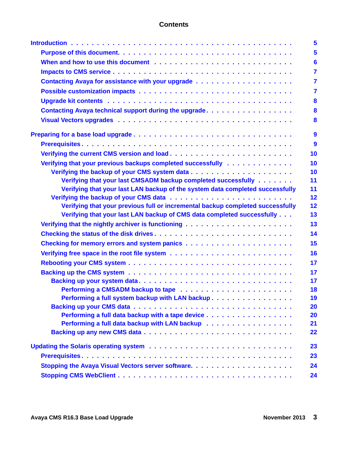#### **Contents**

|                                                                                | $\overline{\mathbf{5}}$ |
|--------------------------------------------------------------------------------|-------------------------|
|                                                                                | 5                       |
|                                                                                | 6                       |
|                                                                                | $\overline{7}$          |
|                                                                                | 7                       |
|                                                                                | $\overline{7}$          |
|                                                                                | 8                       |
| <b>Contacting Avaya technical support during the upgrade</b>                   | 8                       |
|                                                                                | 8                       |
|                                                                                | 9                       |
|                                                                                | $\boldsymbol{9}$        |
|                                                                                | 10                      |
| Verifying that your previous backups completed successfully                    | 10                      |
|                                                                                | 10                      |
| Verifying that your last CMSADM backup completed successfully                  | 11                      |
| Verifying that your last LAN backup of the system data completed successfully  | 11                      |
|                                                                                | 12                      |
| Verifying that your previous full or incremental backup completed successfully | 12                      |
| Verifying that your last LAN backup of CMS data completed successfully         | 13                      |
|                                                                                | 13                      |
|                                                                                | 14                      |
|                                                                                | 15                      |
|                                                                                | 16                      |
|                                                                                | 17                      |
|                                                                                | 17                      |
|                                                                                | 17                      |
|                                                                                | 18                      |
| Performing a full system backup with LAN backup                                | 19                      |
|                                                                                | 20                      |
| Performing a full data backup with a tape device                               | 20                      |
| Performing a full data backup with LAN backup                                  | 21                      |
|                                                                                | 22                      |
|                                                                                |                         |
|                                                                                | 23                      |
|                                                                                | 23                      |
|                                                                                | 24                      |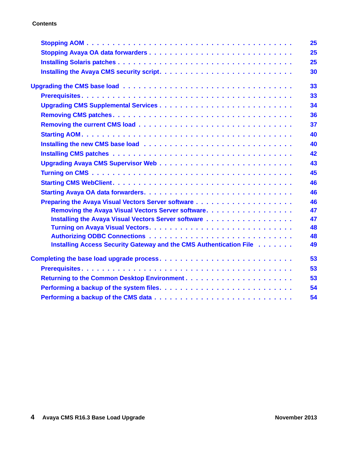#### **Contents**

|                                                                    | 25 |
|--------------------------------------------------------------------|----|
|                                                                    | 25 |
|                                                                    | 25 |
|                                                                    | 30 |
|                                                                    | 33 |
|                                                                    | 33 |
|                                                                    | 34 |
|                                                                    | 36 |
|                                                                    | 37 |
|                                                                    | 40 |
|                                                                    | 40 |
|                                                                    | 42 |
|                                                                    | 43 |
|                                                                    | 45 |
|                                                                    | 46 |
|                                                                    | 46 |
| <b>Preparing the Avaya Visual Vectors Server software </b>         | 46 |
| Removing the Avaya Visual Vectors Server software.                 | 47 |
| Installing the Avaya Visual Vectors Server software                | 47 |
|                                                                    | 48 |
|                                                                    | 48 |
| Installing Access Security Gateway and the CMS Authentication File | 49 |
| Completing the base load upgrade process                           | 53 |
|                                                                    | 53 |
|                                                                    | 53 |
|                                                                    | 54 |
|                                                                    | 54 |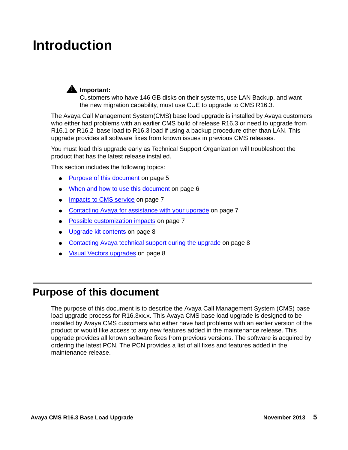# <span id="page-4-2"></span><span id="page-4-0"></span>**Introduction**



#### **A** Important:

Customers who have 146 GB disks on their systems, use LAN Backup, and want the new migration capability, must use CUE to upgrade to CMS R16.3.

The Avaya Call Management System(CMS) base load upgrade is installed by Avaya customers who either had problems with an earlier CMS build of release R16.3 or need to upgrade from R16.1 or R16.2 base load to R16.3 load if using a backup procedure other than LAN. This upgrade provides all software fixes from known issues in previous CMS releases.

You must load this upgrade early as Technical Support Organization will troubleshoot the product that has the latest release installed.

This section includes the following topics:

- [Purpose of this document](#page-4-1) on page 5
- [When and how to use this document](#page-5-0) on page 6
- [Impacts to CMS service](#page-6-0) on page 7
- [Contacting Avaya for assistance with your upgrade](#page-6-1) on page 7
- [Possible customization impacts](#page-6-2) on page 7
- [Upgrade kit contents](#page-7-0) on page 8
- [Contacting Avaya technical support during the upgrade](#page-7-1) on page 8
- [Visual Vectors upgrades](#page-7-2) on page 8

### <span id="page-4-1"></span>**Purpose of this document**

The purpose of this document is to describe the Avaya Call Management System (CMS) base load upgrade process for R16.3xx.x. This Avaya CMS base load upgrade is designed to be installed by Avaya CMS customers who either have had problems with an earlier version of the product or would like access to any new features added in the maintenance release. This upgrade provides all known software fixes from previous versions. The software is acquired by ordering the latest PCN. The PCN provides a list of all fixes and features added in the maintenance release.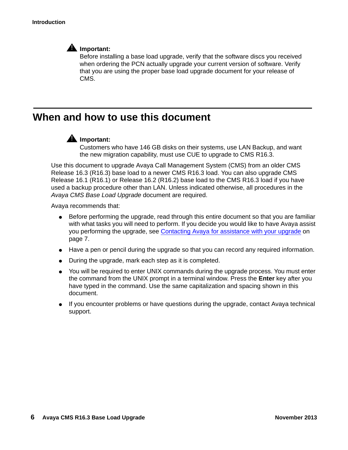

**A** Important:

Before installing a base load upgrade, verify that the software discs you received when ordering the PCN actually upgrade your current version of software. Verify that you are using the proper base load upgrade document for your release of CMS.

### <span id="page-5-0"></span>**When and how to use this document**



#### **A** Important:

Customers who have 146 GB disks on their systems, use LAN Backup, and want the new migration capability, must use CUE to upgrade to CMS R16.3.

Use this document to upgrade Avaya Call Management System (CMS) from an older CMS Release 16.3 (R16.3) base load to a newer CMS R16.3 load. You can also upgrade CMS Release 16.1 (R16.1) or Release 16.2 (R16.2) base load to the CMS R16.3 load if you have used a backup procedure other than LAN. Unless indicated otherwise, all procedures in the *Avaya CMS Base Load Upgrade* document are required.

Avaya recommends that:

- Before performing the upgrade, read through this entire document so that you are familiar with what tasks you will need to perform. If you decide you would like to have Avaya assist you performing the upgrade, see [Contacting Avaya for assistance with your upgrade](#page-6-1) on [page 7.](#page-6-1)
- Have a pen or pencil during the upgrade so that you can record any required information.
- During the upgrade, mark each step as it is completed.
- You will be required to enter UNIX commands during the upgrade process. You must enter the command from the UNIX prompt in a terminal window. Press the **Enter** key after you have typed in the command. Use the same capitalization and spacing shown in this document.
- If you encounter problems or have questions during the upgrade, contact Avaya technical support.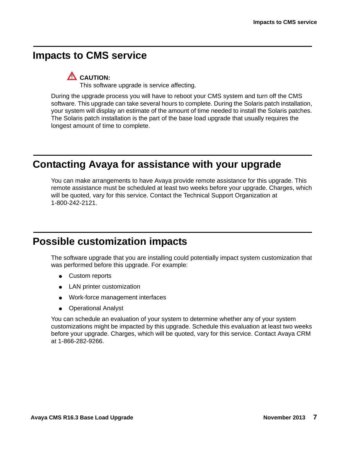## <span id="page-6-0"></span>**Impacts to CMS service**

### **CAUTION: !**

This software upgrade is service affecting.

During the upgrade process you will have to reboot your CMS system and turn off the CMS software. This upgrade can take several hours to complete. During the Solaris patch installation, your system will display an estimate of the amount of time needed to install the Solaris patches. The Solaris patch installation is the part of the base load upgrade that usually requires the longest amount of time to complete.

## <span id="page-6-1"></span>**Contacting Avaya for assistance with your upgrade**

You can make arrangements to have Avaya provide remote assistance for this upgrade. This remote assistance must be scheduled at least two weeks before your upgrade. Charges, which will be quoted, vary for this service. Contact the Technical Support Organization at 1-800-242-2121.

## <span id="page-6-2"></span>**Possible customization impacts**

The software upgrade that you are installing could potentially impact system customization that was performed before this upgrade. For example:

- Custom reports
- LAN printer customization
- Work-force management interfaces
- Operational Analyst

You can schedule an evaluation of your system to determine whether any of your system customizations might be impacted by this upgrade. Schedule this evaluation at least two weeks before your upgrade. Charges, which will be quoted, vary for this service. Contact Avaya CRM at 1-866-282-9266.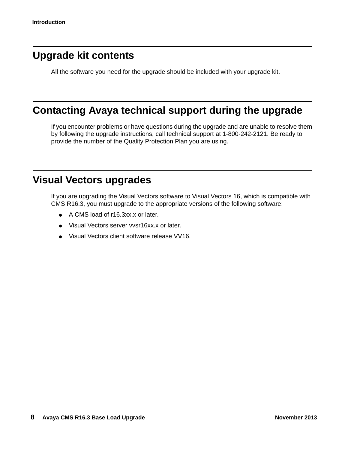## <span id="page-7-0"></span>**Upgrade kit contents**

All the software you need for the upgrade should be included with your upgrade kit.

## <span id="page-7-1"></span>**Contacting Avaya technical support during the upgrade**

If you encounter problems or have questions during the upgrade and are unable to resolve them by following the upgrade instructions, call technical support at 1-800-242-2121. Be ready to provide the number of the Quality Protection Plan you are using.

## <span id="page-7-2"></span>**Visual Vectors upgrades**

If you are upgrading the Visual Vectors software to Visual Vectors 16, which is compatible with CMS R16.3, you must upgrade to the appropriate versions of the following software:

- A CMS load of r16.3xx.x or later.
- Visual Vectors server vvsr16xx.x or later.
- Visual Vectors client software release VV16.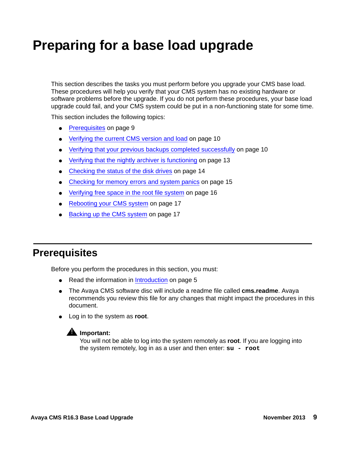# <span id="page-8-2"></span><span id="page-8-0"></span>**Preparing for a base load upgrade**

This section describes the tasks you must perform before you upgrade your CMS base load. These procedures will help you verify that your CMS system has no existing hardware or software problems before the upgrade. If you do not perform these procedures, your base load upgrade could fail, and your CMS system could be put in a non-functioning state for some time.

This section includes the following topics:

- [Prerequisites](#page-8-1) on page 9
- [Verifying the current CMS version and load](#page-9-0) on page 10
- [Verifying that your previous backups completed successfully](#page-9-1) on page 10
- [Verifying that the nightly archiver is functioning](#page-12-1) on page 13
- [Checking the status of the disk drives](#page-13-0) on page 14
- [Checking for memory errors and system panics](#page-14-0) on page 15
- [Verifying free space in the root file system](#page-15-0) on page 16
- [Rebooting your CMS system](#page-16-0) on page 17
- [Backing up the CMS system](#page-16-1) on page 17

### <span id="page-8-1"></span>**Prerequisites**

Before you perform the procedures in this section, you must:

- Read the information in [Introduction](#page-4-2) on page 5
- The Avaya CMS software disc will include a readme file called **cms.readme**. Avaya recommends you review this file for any changes that might impact the procedures in this document.
- Log in to the system as **root**.

#### **A** Important:

You will not be able to log into the system remotely as **root**. If you are logging into the system remotely, log in as a user and then enter: **su - root**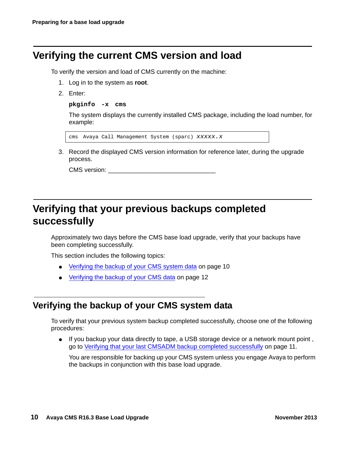## <span id="page-9-0"></span>**Verifying the current CMS version and load**

To verify the version and load of CMS currently on the machine:

- 1. Log in to the system as **root**.
- 2. Enter:

**pkginfo -x cms**

The system displays the currently installed CMS package, including the load number, for example:

cms Avaya Call Management System (sparc) *xxxxx.x*

3. Record the displayed CMS version information for reference later, during the upgrade process.

CMS version: **EXAMPLE 1999** 

## <span id="page-9-1"></span>**Verifying that your previous backups completed successfully**

Approximately two days before the CMS base load upgrade, verify that your backups have been completing successfully.

This section includes the following topics:

- [Verifying the backup of your CMS system data](#page-9-2) on page 10
- [Verifying the backup of your CMS data](#page-11-0) on page 12

### <span id="page-9-2"></span>**Verifying the backup of your CMS system data**

To verify that your previous system backup completed successfully, choose one of the following procedures:

● If you backup your data directly to tape, a USB storage device or a network mount point, go to [Verifying that your last CMSADM backup completed successfully](#page-10-0) on page 11.

You are responsible for backing up your CMS system unless you engage Avaya to perform the backups in conjunction with this base load upgrade.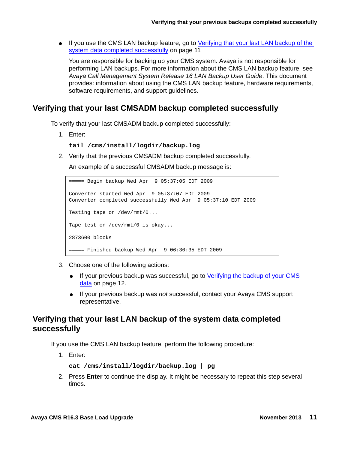● If you use the CMS LAN backup feature, go to Verifying that your last LAN backup of the [system data completed successfully](#page-10-1) on page 11

You are responsible for backing up your CMS system. Avaya is not responsible for performing LAN backups. For more information about the CMS LAN backup feature, see *Avaya Call Management System Release 16 LAN Backup User Guide*. This document provides: information about using the CMS LAN backup feature, hardware requirements, software requirements, and support guidelines.

### <span id="page-10-0"></span>**Verifying that your last CMSADM backup completed successfully**

To verify that your last CMSADM backup completed successfully:

1. Enter:

**tail /cms/install/logdir/backup.log**

2. Verify that the previous CMSADM backup completed successfully.

An example of a successful CMSADM backup message is:

```
===== Begin backup Wed Apr 9 05:37:05 EDT 2009
Converter started Wed Apr 9 05:37:07 EDT 2009
Converter completed successfully Wed Apr 9 05:37:10 EDT 2009
Testing tape on /dev/rmt/0...
Tape test on /dev/rmt/0 is okay...
2873600 blocks
===== Finished backup Wed Apr 9 06:30:35 EDT 2009
```
- 3. Choose one of the following actions:
	- If your previous backup was successful, go to [Verifying the backup of your CMS](#page-11-0)  data [on page 12](#page-11-0).
	- If your previous backup was *not* successful, contact your Avaya CMS support representative.

### <span id="page-10-1"></span>**Verifying that your last LAN backup of the system data completed successfully**

If you use the CMS LAN backup feature, perform the following procedure:

1. Enter:

```
cat /cms/install/logdir/backup.log | pg
```
2. Press **Enter** to continue the display. It might be necessary to repeat this step several times.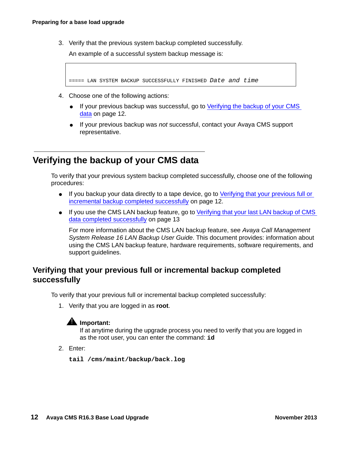3. Verify that the previous system backup completed successfully.

An example of a successful system backup message is:

===== LAN SYSTEM BACKUP SUCCESSFULLY FINISHED *Date and time*

- 4. Choose one of the following actions:
	- If your previous backup was successful, go to [Verifying the backup of your CMS](#page-11-0)  data [on page 12](#page-11-0).
	- If your previous backup was *not* successful, contact your Avaya CMS support representative.

### <span id="page-11-0"></span>**Verifying the backup of your CMS data**

To verify that your previous system backup completed successfully, choose one of the following procedures:

- If you backup your data directly to a tape device, go to [Verifying that your previous full or](#page-11-1)  [incremental backup completed successfully](#page-11-1) on page 12.
- If you use the CMS LAN backup feature, go to [Verifying that your last LAN backup of CMS](#page-12-0)  [data completed successfully](#page-12-0) on page 13

For more information about the CMS LAN backup feature, see *Avaya Call Management System Release 16 LAN Backup User Guide*. This document provides: information about using the CMS LAN backup feature, hardware requirements, software requirements, and support guidelines.

### <span id="page-11-1"></span>**Verifying that your previous full or incremental backup completed successfully**

To verify that your previous full or incremental backup completed successfully:

1. Verify that you are logged in as **root**.

### $\triangle$  Important:

If at anytime during the upgrade process you need to verify that you are logged in as the root user, you can enter the command: **id**

2. Enter:

**tail /cms/maint/backup/back.log**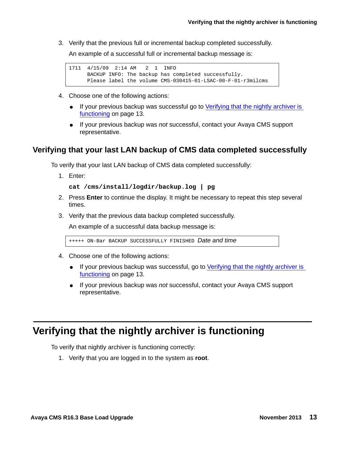3. Verify that the previous full or incremental backup completed successfully.

An example of a successful full or incremental backup message is:

1711 4/15/09 2:14 AM 2 1 INFO BACKUP INFO: The backup has completed successfully. Please label the volume CMS-030415-01-LSAC-00-F-01-r3milcms

- 4. Choose one of the following actions:
	- If your previous backup was successful go to Verifying that the nightly archiver is functioning [on page 13](#page-12-1).
	- If your previous backup was *not* successful, contact your Avaya CMS support representative.

### <span id="page-12-0"></span>**Verifying that your last LAN backup of CMS data completed successfully**

To verify that your last LAN backup of CMS data completed successfully:

1. Enter:

```
cat /cms/install/logdir/backup.log | pg
```
- 2. Press **Enter** to continue the display. It might be necessary to repeat this step several times.
- 3. Verify that the previous data backup completed successfully.

An example of a successful data backup message is:

+++++ ON-Bar BACKUP SUCCESSFULLY FINISHED *Date and time*

- 4. Choose one of the following actions:
	- If your previous backup was successful, go to Verifying that the nightly archiver is functioning [on page 13](#page-12-1).
	- If your previous backup was *not* successful, contact your Avaya CMS support representative.

## <span id="page-12-1"></span>**Verifying that the nightly archiver is functioning**

To verify that nightly archiver is functioning correctly:

1. Verify that you are logged in to the system as **root**.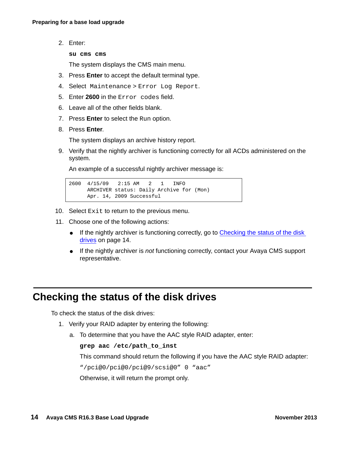2. Enter:

**su cms cms**

The system displays the CMS main menu.

- 3. Press **Enter** to accept the default terminal type.
- 4. Select Maintenance > Error Log Report.
- 5. Enter **2600** in the Error codes field.
- 6. Leave all of the other fields blank.
- 7. Press **Enter** to select the Run option.
- 8. Press **Enter**.

The system displays an archive history report.

9. Verify that the nightly archiver is functioning correctly for all ACDs administered on the system.

An example of a successful nightly archiver message is:

```
2600 4/15/09 2:15 AM 2 1 INFO
     ARCHIVER status: Daily Archive for (Mon) 
     Apr. 14, 2009 Successful
```
- 10. Select Exit to return to the previous menu.
- 11. Choose one of the following actions:
	- If the nightly archiver is functioning correctly, go to Checking the status of the disk drives [on page 14.](#page-13-0)
	- If the nightly archiver is *not* functioning correctly, contact your Avaya CMS support representative.

### <span id="page-13-0"></span>**Checking the status of the disk drives**

To check the status of the disk drives:

- 1. Verify your RAID adapter by entering the following:
	- a. To determine that you have the AAC style RAID adapter, enter:

**grep aac /etc/path\_to\_inst**

This command should return the following if you have the AAC style RAID adapter:

"/pci@0/pci@0/pci@9/scsi@0" 0 "aac"

Otherwise, it will return the prompt only.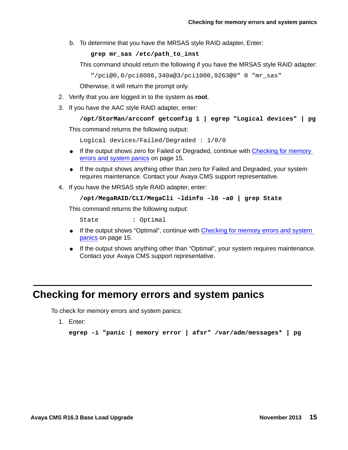b. To determine that you have the MRSAS style RAID adapter, Enter:

**grep mr\_sas /etc/path\_to\_inst**

This command should return the following if you have the MRSAS style RAID adapter:

"/pci@0,0/pci8086,340a@3/pci1000,9263@0" 0 "mr\_sas"

Otherwise, it will return the prompt only.

- 2. Verify that you are logged in to the system as **root**.
- 3. If you have the AAC style RAID adapter, enter:

```
/opt/StorMan/arcconf getconfig 1 | egrep "Logical devices" | pg
```
This command returns the following output:

```
Logical devices/Failed/Degraded : 1/0/0
```
- If the output shows zero for Failed or Degraded, continue with Checking for memory [errors and system panics](#page-14-0) on page 15.
- If the output shows anything other than zero for Failed and Degraded, your system requires maintenance. Contact your Avaya CMS support representative.
- 4. If you have the MRSAS style RAID adapter, enter:

```
/opt/MegaRAID/CLI/MegaCli –ldinfo –l0 –a0 | grep State
```
This command returns the following output:

State : Optimal

- If the output shows "Optimal", continue with Checking for memory errors and system panics [on page 15.](#page-14-0)
- If the output shows anything other than "Optimal", your system requires maintenance. Contact your Avaya CMS support representative.

### <span id="page-14-0"></span>**Checking for memory errors and system panics**

To check for memory errors and system panics:

1. Enter:

```
egrep -i "panic | memory error | afsr" /var/adm/messages* | pg
```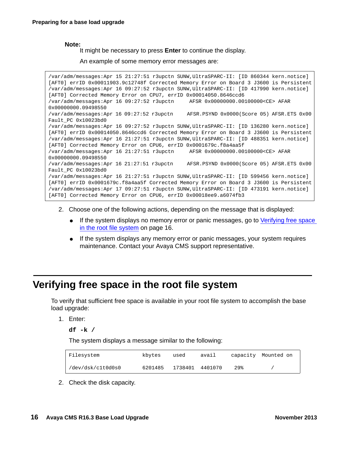**Note:**

It might be necessary to press **Enter** to continue the display.

An example of some memory error messages are:

```
/var/adm/messages:Apr 15 21:27:51 r3upctn SUNW,UltraSPARC-II: [ID 860344 kern.notice] 
[AFT0] errID 0x00011903.9c12748f Corrected Memory Error on Board 3 J3600 is Persistent
/var/adm/messages:Apr 16 09:27:52 r3upctn SUNW,UltraSPARC-II: [ID 417990 kern.notice] 
[AFT0] Corrected Memory Error on CPU7, errID 0x00014050.8646ccd6
/var/adm/messages:Apr 16 09:27:52 r3upctn AFSR 0x00000000.00100000<CE> AFAR 
0x00000000.09498550
/var/adm/messages:Apr 16 09:27:52 r3upctn AFSR.PSYND 0x0000(Score 05) AFSR.ETS 0x00 
Fault PC 0x10023bd0
/var/adm/messages:Apr 16 09:27:52 r3upctn SUNW,UltraSPARC-II: [ID 136280 kern.notice] 
[AFT0] errID 0x00014050.8646ccd6 Corrected Memory Error on Board 3 J3600 is Persistent
/var/adm/messages:Apr 16 21:27:51 r3upctn SUNW,UltraSPARC-II: [ID 488351 kern.notice] 
[AFT0] Corrected Memory Error on CPU6, errID 0x0001679c.f8a4aa5f
/var/adm/messages:Apr 16 21:27:51 r3upctn AFSR 0x00000000.00100000<CE> AFAR 
0x00000000.09498550
/var/adm/messages:Apr 16 21:27:51 r3upctn AFSR.PSYND 0x0000(Score 05) AFSR.ETS 0x00 
Fault_PC 0x10023bd0
/var/adm/messages:Apr 16 21:27:51 r3upctn SUNW,UltraSPARC-II: [ID 599456 kern.notice] 
[AFT0] errID 0x0001679c.f8a4aa5f Corrected Memory Error on Board 3 J3600 is Persistent
/var/adm/messages:Apr 17 09:27:51 r3upctn SUNW,UltraSPARC-II: [ID 473191 kern.notice] 
[AFT0] Corrected Memory Error on CPU6, errID 0x00018ee9.a6074fb3
```
- 2. Choose one of the following actions, depending on the message that is displayed:
	- If the system displays no memory error or panic messages, go to Verifying free space [in the root file system](#page-15-0) on page 16.
	- If the system displays any memory error or panic messages, your system requires maintenance. Contact your Avaya CMS support representative.

### <span id="page-15-0"></span>**Verifying free space in the root file system**

To verify that sufficient free space is available in your root file system to accomplish the base load upgrade:

1. Enter:

**df -k /**

The system displays a message similar to the following:

| Filesystem        | kbytes  | used            | avail |      | capacity Mounted on |
|-------------------|---------|-----------------|-------|------|---------------------|
| /dev/dsk/c1t0d0s0 | 6201485 | 1738401 4401070 |       | 2.9% |                     |

2. Check the disk capacity.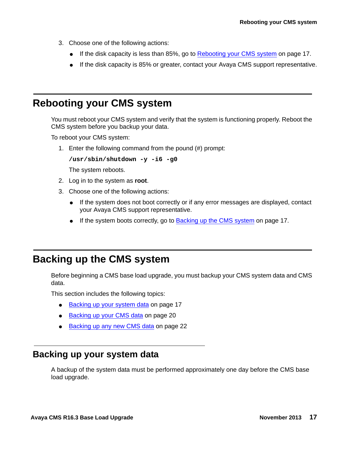- 3. Choose one of the following actions:
	- If the disk capacity is less than 85%, go to [Rebooting your CMS system](#page-16-0) on page 17.
	- If the disk capacity is 85% or greater, contact your Avaya CMS support representative.

## <span id="page-16-0"></span>**Rebooting your CMS system**

You must reboot your CMS system and verify that the system is functioning properly. Reboot the CMS system before you backup your data.

To reboot your CMS system:

1. Enter the following command from the pound (#) prompt:

**/usr/sbin/shutdown -y -i6 -g0**

The system reboots.

- 2. Log in to the system as **root**.
- 3. Choose one of the following actions:
	- If the system does not boot correctly or if any error messages are displayed, contact your Avaya CMS support representative.
	- If the system boots correctly, go to [Backing up the CMS system](#page-16-1) on page 17.

## <span id="page-16-1"></span>**Backing up the CMS system**

Before beginning a CMS base load upgrade, you must backup your CMS system data and CMS data.

This section includes the following topics:

- [Backing up your system data](#page-16-2) on page 17
- [Backing up your CMS data](#page-19-0) on page 20
- [Backing up any new CMS data](#page-21-0) on page 22

### <span id="page-16-3"></span><span id="page-16-2"></span>**Backing up your system data**

A backup of the system data must be performed approximately one day before the CMS base load upgrade.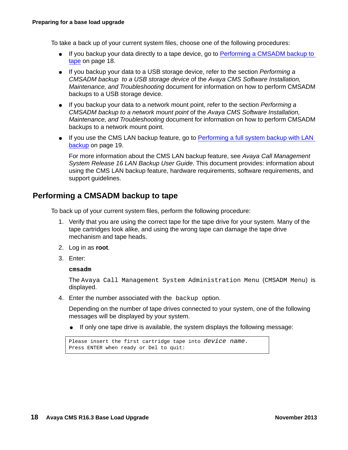To take a back up of your current system files, choose one of the following procedures:

- If you backup your data directly to a tape device, go to Performing a CMSADM backup to tape [on page 18](#page-17-0).
- If you backup your data to a USB storage device, refer to the section *Performing a CMSADM backup to a USB storage device* of the *Avaya CMS Software Installation, Maintenance, and Troubleshooting* document for information on how to perform CMSADM backups to a USB storage device.
- If you backup your data to a network mount point, refer to the section *Performing a CMSADM backup to a network mount point* of the *Avaya CMS Software Installation, Maintenance, and Troubleshooting* document for information on how to perform CMSADM backups to a network mount point.
- If you use the CMS LAN backup feature, go to Performing a full system backup with LAN backup [on page 19](#page-18-0).

For more information about the CMS LAN backup feature, see *Avaya Call Management System Release 16 LAN Backup User Guide*. This document provides: information about using the CMS LAN backup feature, hardware requirements, software requirements, and support guidelines.

### <span id="page-17-0"></span>**Performing a CMSADM backup to tape**

To back up of your current system files, perform the following procedure:

- 1. Verify that you are using the correct tape for the tape drive for your system. Many of the tape cartridges look alike, and using the wrong tape can damage the tape drive mechanism and tape heads.
- 2. Log in as **root**.
- 3. Enter:

#### **cmsadm**

The Avaya Call Management System Administration Menu (CMSADM Menu) is displayed.

4. Enter the number associated with the backup option.

Depending on the number of tape drives connected to your system, one of the following messages will be displayed by your system.

● If only one tape drive is available, the system displays the following message:

```
Please insert the first cartridge tape into device name.
Press ENTER when ready or Del to quit:
```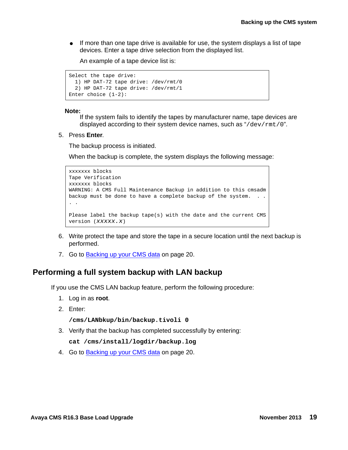● If more than one tape drive is available for use, the system displays a list of tape devices. Enter a tape drive selection from the displayed list.

An example of a tape device list is:

```
Select the tape drive:
  1) HP DAT-72 tape drive: /dev/rmt/0
   2) HP DAT-72 tape drive: /dev/rmt/1
Enter choice (1-2):
```
#### **Note:**

If the system fails to identify the tapes by manufacturer name, tape devices are displayed according to their system device names, such as " $/$ dev/ $r$ mt/0".

#### 5. Press **Enter**.

The backup process is initiated.

When the backup is complete, the system displays the following message:

```
xxxxxxx blocks
Tape Verification
xxxxxxx blocks
WARNING: A CMS Full Maintenance Backup in addition to this cmsadm 
backup must be done to have a complete backup of the system. . . 
. . 
Please label the backup tape(s) with the date and the current CMS 
version (xxxxx.x)
```
- 6. Write protect the tape and store the tape in a secure location until the next backup is performed.
- 7. Go to [Backing up your CMS data](#page-19-0) on page 20.

#### <span id="page-18-0"></span>**Performing a full system backup with LAN backup**

If you use the CMS LAN backup feature, perform the following procedure:

- 1. Log in as **root**.
- 2. Enter:

**/cms/LANbkup/bin/backup.tivoli 0**

3. Verify that the backup has completed successfully by entering:

```
cat /cms/install/logdir/backup.log
```
4. Go to [Backing up your CMS data](#page-19-0) on page 20.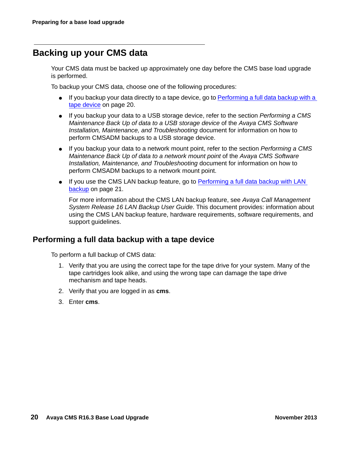### <span id="page-19-2"></span><span id="page-19-0"></span>**Backing up your CMS data**

Your CMS data must be backed up approximately one day before the CMS base load upgrade is performed.

To backup your CMS data, choose one of the following procedures:

- If you backup your data directly to a tape device, go to Performing a full data backup with a [tape device](#page-19-1) on page 20.
- If you backup your data to a USB storage device, refer to the section *Performing a CMS Maintenance Back Up of data to a USB storage device* of the *Avaya CMS Software Installation, Maintenance, and Troubleshooting* document for information on how to perform CMSADM backups to a USB storage device.
- If you backup your data to a network mount point, refer to the section *Performing a CMS Maintenance Back Up of data to a network mount point* of the *Avaya CMS Software Installation, Maintenance, and Troubleshooting* document for information on how to perform CMSADM backups to a network mount point.
- If you use the CMS LAN backup feature, go to Performing a full data backup with LAN backup [on page 21](#page-20-0).

For more information about the CMS LAN backup feature, see *Avaya Call Management System Release 16 LAN Backup User Guide*. This document provides: information about using the CMS LAN backup feature, hardware requirements, software requirements, and support guidelines.

### <span id="page-19-1"></span>**Performing a full data backup with a tape device**

To perform a full backup of CMS data:

- 1. Verify that you are using the correct tape for the tape drive for your system. Many of the tape cartridges look alike, and using the wrong tape can damage the tape drive mechanism and tape heads.
- 2. Verify that you are logged in as **cms**.
- 3. Enter **cms**.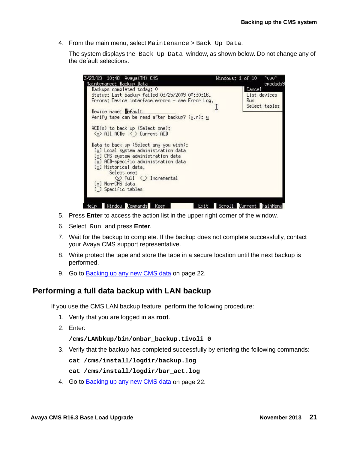4. From the main menu, select Maintenance > Back Up Data.

The system displays the Back Up Data window, as shown below. Do not change any of the default selections.

| 3/25/09 10:48 Avaya(TM) CMS<br>Maintenance: Backup Data                                                                                                                                                                                                                                                                                                                | Windows: 1 of 10        |                               | ~ww~<br>cmsdads9 |
|------------------------------------------------------------------------------------------------------------------------------------------------------------------------------------------------------------------------------------------------------------------------------------------------------------------------------------------------------------------------|-------------------------|-------------------------------|------------------|
| Backups completed today: 0<br>Status: Last backup failed 03/25/2009 00:30:16.<br>Errors: Device interface errors - see Error Log.<br>Device name: Default<br>Verify tape can be read after backup? (y,n): y<br>ACD(s) to back up (Select one):                                                                                                                         |                         | Cancel<br>List devices<br>Run | Select tables    |
| $\langle x \rangle$ All ACDs $\langle \rangle$ Current ACD<br>Data to back up (Select any you wish):<br>[x] Local system administration data<br>[x] CMS system administration data<br>[x] ACD-specific administration data<br>[x] Historical data,<br>Select one:<br>$\langle x \rangle$ Full $\langle \rangle$ Incremental<br>[x] Non-CMS data<br>[ ] Specific tables |                         |                               |                  |
| Window Commands<br>Keep<br>Exit<br>Help                                                                                                                                                                                                                                                                                                                                | Scroll Current MainMenu |                               |                  |

- 5. Press **Enter** to access the action list in the upper right corner of the window.
- 6. Select Run and press **Enter**.
- 7. Wait for the backup to complete. If the backup does not complete successfully, contact your Avaya CMS support representative.
- 8. Write protect the tape and store the tape in a secure location until the next backup is performed.
- 9. Go to [Backing up any new CMS data](#page-21-0) on page 22.

### <span id="page-20-0"></span>**Performing a full data backup with LAN backup**

If you use the CMS LAN backup feature, perform the following procedure:

- 1. Verify that you are logged in as **root**.
- 2. Enter:

**/cms/LANbkup/bin/onbar\_backup.tivoli 0**

3. Verify that the backup has completed successfully by entering the following commands:

**cat /cms/install/logdir/backup.log**

- **cat /cms/install/logdir/bar\_act.log**
- 4. Go to [Backing up any new CMS data](#page-21-0) on page 22.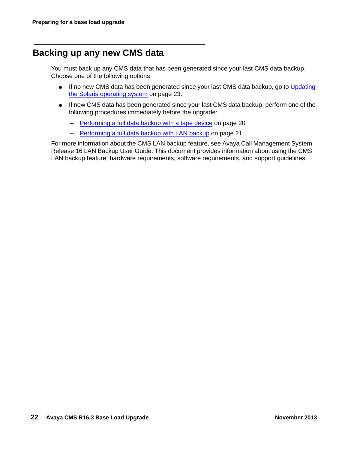### <span id="page-21-0"></span>**Backing up any new CMS data**

You must back up any CMS data that has been generated since your last CMS data backup. Choose one of the following options:

- If no new CMS data has been generated since your last CMS data backup, go to Updating [the Solaris operating system](#page-22-2) on page 23.
- If new CMS data has been generated since your last CMS data backup, perform one of the following procedures immediately before the upgrade:
	- [Performing a full data backup with a tape device](#page-19-1) on page 20
	- [Performing a full data backup with LAN backup](#page-20-0) on page 21

For more information about the CMS LAN backup feature, see Avaya Call Management System Release 16 LAN Backup User Guide. This document provides information about using the CMS LAN backup feature, hardware requirements, software requirements, and support guidelines.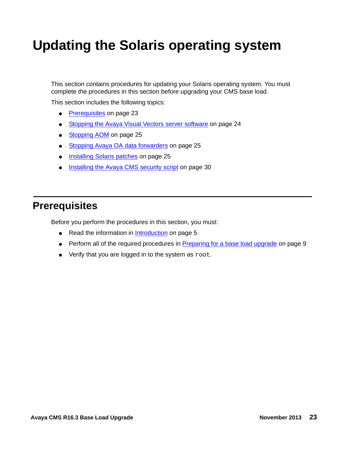# <span id="page-22-2"></span><span id="page-22-0"></span>**Updating the Solaris operating system**

This section contains procedures for updating your Solaris operating system. You must complete the procedures in this section before upgrading your CMS base load.

This section includes the following topics:

- [Prerequisites](#page-22-1) on page 23
- [Stopping the Avaya Visual Vectors server software](#page-23-0) on page 24
- [Stopping AOM](#page-24-0) on page 25
- [Stopping Avaya OA data forwarders](#page-24-1) on page 25
- [Installing Solaris patches](#page-24-2) on page 25
- [Installing the Avaya CMS security script](#page-29-0) on page 30

## <span id="page-22-1"></span>**Prerequisites**

Before you perform the procedures in this section, you must:

- Read the information in [Introduction](#page-4-2) on page 5
- Perform all of the required procedures in [Preparing for a base load upgrade](#page-8-2) on page 9
- Verify that you are logged in to the system as root.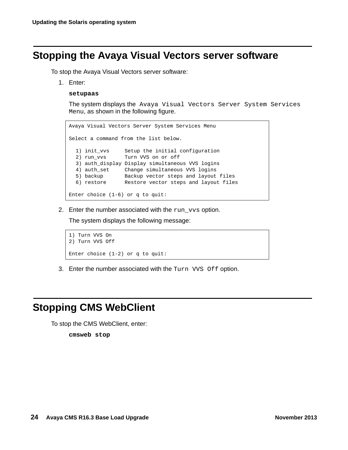## <span id="page-23-0"></span>**Stopping the Avaya Visual Vectors server software**

To stop the Avaya Visual Vectors server software:

- 1. Enter:
	- **setupaas**

The system displays the Avaya Visual Vectors Server System Services Menu, as shown in the following figure.

```
Avaya Visual Vectors Server System Services Menu
Select a command from the list below.
 1) init_vvs Setup the initial configuration
 2) run_vvs Turn VVS on or off
 3) auth_display Display simultaneous VVS logins
 4) auth_set Change simultaneous VVS logins
  5) backup Backup vector steps and layout files
  6) restore Restore vector steps and layout files
Enter choice (1-6) or q to quit:
```
2. Enter the number associated with the run\_vvs option.

The system displays the following message:

```
1) Turn VVS On
2) Turn VVS Off
Enter choice (1-2) or q to quit:
```
3. Enter the number associated with the Turn VVS Off option.

## <span id="page-23-1"></span>**Stopping CMS WebClient**

To stop the CMS WebClient, enter:

**cmsweb stop**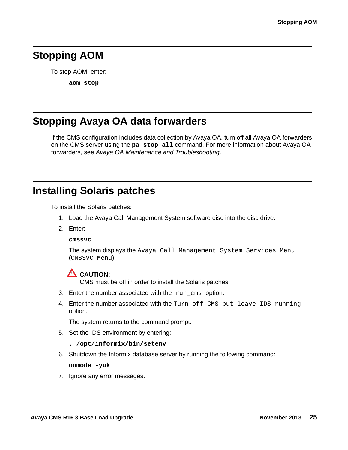## <span id="page-24-0"></span>**Stopping AOM**

To stop AOM, enter:

**aom stop**

## <span id="page-24-1"></span>**Stopping Avaya OA data forwarders**

If the CMS configuration includes data collection by Avaya OA, turn off all Avaya OA forwarders on the CMS server using the **pa stop all** command. For more information about Avaya OA forwarders, see *Avaya OA Maintenance and Troubleshooting*.

## <span id="page-24-2"></span>**Installing Solaris patches**

To install the Solaris patches:

- 1. Load the Avaya Call Management System software disc into the disc drive.
- 2. Enter:

#### **cmssvc**

The system displays the Avaya Call Management System Services Menu (CMSSVC Menu).

### $\triangle$  CAUTION:

CMS must be off in order to install the Solaris patches.

- 3. Enter the number associated with the run cms option.
- 4. Enter the number associated with the Turn off CMS but leave IDS running option.

The system returns to the command prompt.

- 5. Set the IDS environment by entering:
	- **. /opt/informix/bin/setenv**
- 6. Shutdown the Informix database server by running the following command:

**onmode -yuk**

7. Ignore any error messages.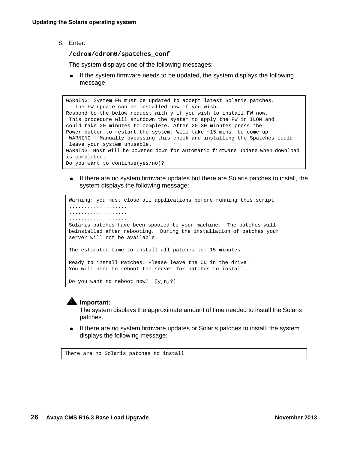8. Enter:

**/cdrom/cdrom0/spatches\_conf**

The system displays one of the following messages:

● If the system firmware needs to be updated, the system displays the following message:

```
WARNING: System FW must be updated to accept latest Solaris patches.
   The FW update can be installed now if you wish.
Respond to the below request with y if you wish to install FW now.
 This procedure will shutdown the system to apply the FW in ILOM and
could take 20 minutes to complete. After 20-30 minutes press the
Power button to restart the system. Will take ~15 mins. to come up
 WARNING!! Manually bypassing this check and installing the Spatches could
 leave your system unusable.
WARNING: Host will be powered down for automatic firmware update when download 
is completed.
Do you want to continue(yes/no)?
```
● If there are no system firmware updates but there are Solaris patches to install, the system displays the following message:

```
Warning: you must close all applications before running this script
...................
...................
...................
Solaris patches have been spooled to your machine. The patches will 
beinstalled after rebooting. During the installation of patches your
server will not be available.
The estimated time to install all patches is: 15 minutes
Ready to install Patches. Please leave the CD in the drive.
You will need to reboot the server for patches to install.
Do you want to reboot now? [y,n,?]
```
#### **A** Important:

The system displays the approximate amount of time needed to install the Solaris patches.

● If there are *no* system firmware updates or Solaris patches to install, the system displays the following message:

There are no Solaris patches to install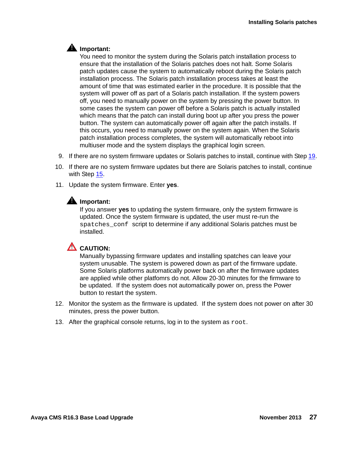### $\triangle$  Important:

You need to monitor the system during the Solaris patch installation process to ensure that the installation of the Solaris patches does not halt. Some Solaris patch updates cause the system to automatically reboot during the Solaris patch installation process. The Solaris patch installation process takes at least the amount of time that was estimated earlier in the procedure. It is possible that the system will power off as part of a Solaris patch installation. If the system powers off, you need to manually power on the system by pressing the power button. In some cases the system can power off before a Solaris patch is actually installed which means that the patch can install during boot up after you press the power button. The system can automatically power off again after the patch installs. If this occurs, you need to manually power on the system again. When the Solaris patch installation process completes, the system will automatically reboot into multiuser mode and the system displays the graphical login screen.

- 9. If there are no system firmware updates or Solaris patches to install, continue with Step [19.](#page-28-0)
- 10. If there are no system firmware updates but there are Solaris patches to install, continue with Step [15](#page-27-0).
- 11. Update the system firmware. Enter **yes**.

### $\triangle$  Important:

If you answer **yes** to updating the system firmware, only the system firmware is updated. Once the system firmware is updated, the user must re-run the spatches conf script to determine if any additional Solaris patches must be installed.

## $\triangle$  CAUTION:

Manually bypassing firmware updates and installing spatches can leave your system unusable. The system is powered down as part of the firmware update. Some Solaris platforms automatically power back on after the firmware updates are applied while other platfomrs do not. Allow 20-30 minutes for the firmware to be updated. If the system does not automatically power on, press the Power button to restart the system.

- 12. Monitor the system as the firmware is updated. If the system does not power on after 30 minutes, press the power button.
- 13. After the graphical console returns, log in to the system as  $root$ .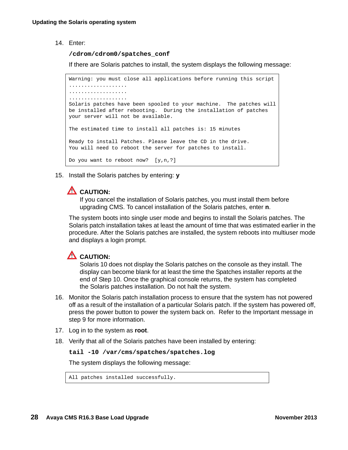14. Enter:

#### **/cdrom/cdrom0/spatches\_conf**

If there are Solaris patches to install, the system displays the following message:

```
Warning: you must close all applications before running this script
...................
...................
...................
Solaris patches have been spooled to your machine. The patches will 
be installed after rebooting. During the installation of patches 
your server will not be available.
The estimated time to install all patches is: 15 minutes
Ready to install Patches. Please leave the CD in the drive.
You will need to reboot the server for patches to install.
Do you want to reboot now? [y,n,?]
```
<span id="page-27-0"></span>15. Install the Solaris patches by entering: **y**

### $\triangle$  CAUTION:

If you cancel the installation of Solaris patches, you must install them before upgrading CMS. To cancel installation of the Solaris patches, enter **n**.

The system boots into single user mode and begins to install the Solaris patches. The Solaris patch installation takes at least the amount of time that was estimated earlier in the procedure. After the Solaris patches are installed, the system reboots into multiuser mode and displays a login prompt.

### **CAUTION:**

Solaris 10 does not display the Solaris patches on the console as they install. The display can become blank for at least the time the Spatches installer reports at the end of Step 10. Once the graphical console returns, the system has completed the Solaris patches installation. Do not halt the system.

- 16. Monitor the Solaris patch installation process to ensure that the system has not powered off as a result of the installation of a particular Solaris patch. If the system has powered off, press the power button to power the system back on. Refer to the Important message in step 9 for more information.
- 17. Log in to the system as **root**.
- 18. Verify that all of the Solaris patches have been installed by entering:

#### **tail -10 /var/cms/spatches/spatches.log**

The system displays the following message:

```
All patches installed successfully.
```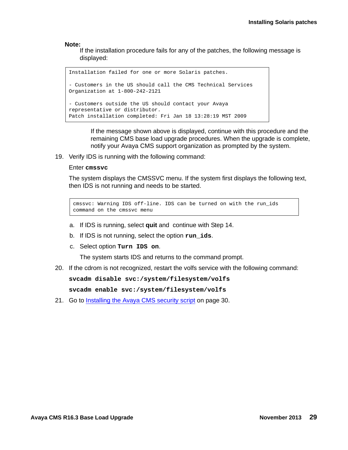**Note:**

If the installation procedure fails for any of the patches, the following message is displayed:

```
Installation failed for one or more Solaris patches.
- Customers in the US should call the CMS Technical Services 
Organization at 1-800-242-2121
- Customers outside the US should contact your Avaya 
representative or distributor.
Patch installation completed: Fri Jan 18 13:28:19 MST 2009
```
If the message shown above is displayed, continue with this procedure and the remaining CMS base load upgrade procedures. When the upgrade is complete, notify your Avaya CMS support organization as prompted by the system.

<span id="page-28-0"></span>19. Verify IDS is running with the following command:

#### Enter **cmssvc**

The system displays the CMSSVC menu. If the system first displays the following text, then IDS is not running and needs to be started.

```
cmssvc: Warning IDS off-line. IDS can be turned on with the run_ids 
command on the cmssvc menu
```
- a. If IDS is running, select **quit** and continue with Step 14.
- b. If IDS is not running, select the option **run\_ids**.
- c. Select option **Turn IDS on**.

The system starts IDS and returns to the command prompt.

20. If the cdrom is not recognized, restart the volfs service with the following command:

**svcadm disable svc:/system/filesystem/volfs**

**svcadm enable svc:/system/filesystem/volfs**

21. Go to [Installing the Avaya CMS security script](#page-29-0) on page 30.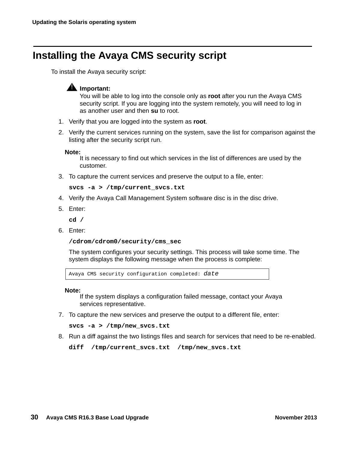## <span id="page-29-0"></span>**Installing the Avaya CMS security script**

To install the Avaya security script:



You will be able to log into the console only as **root** after you run the Avaya CMS security script. If you are logging into the system remotely, you will need to log in as another user and then **su** to root.

- 1. Verify that you are logged into the system as **root**.
- 2. Verify the current services running on the system, save the list for comparison against the listing after the security script run.

**Note:**

It is necessary to find out which services in the list of differences are used by the customer.

3. To capture the current services and preserve the output to a file, enter:

```
svcs -a > /tmp/current_svcs.txt
```
- 4. Verify the Avaya Call Management System software disc is in the disc drive.
- 5. Enter:

**cd /**

6. Enter:

```
/cdrom/cdrom0/security/cms_sec
```
The system configures your security settings. This process will take some time. The system displays the following message when the process is complete:

Avaya CMS security configuration completed: *date*

#### **Note:**

If the system displays a configuration failed message, contact your Avaya services representative.

7. To capture the new services and preserve the output to a different file, enter:

```
svcs -a > /tmp/new_svcs.txt
```
8. Run a diff against the two listings files and search for services that need to be re-enabled.

```
diff /tmp/current_svcs.txt /tmp/new_svcs.txt
```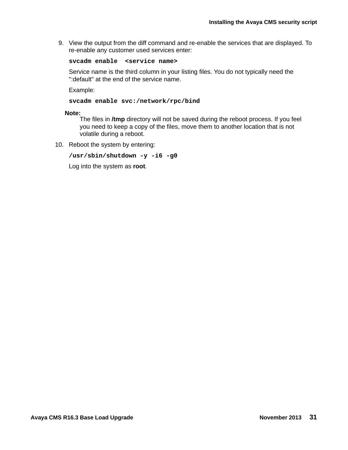9. View the output from the diff command and re-enable the services that are displayed. To re-enable any customer used services enter:

**svcadm enable <service name>**

Service name is the third column in your listing files. You do not typically need the ":default" at the end of the service name.

Example:

**svcadm enable svc:/network/rpc/bind**

**Note:**

The files in **/tmp** directory will not be saved during the reboot process. If you feel you need to keep a copy of the files, move them to another location that is not volatile during a reboot.

10. Reboot the system by entering:

**/usr/sbin/shutdown -y -i6 -g0**

Log into the system as **root**.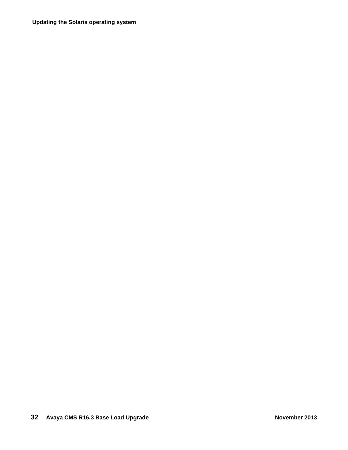**Updating the Solaris operating system**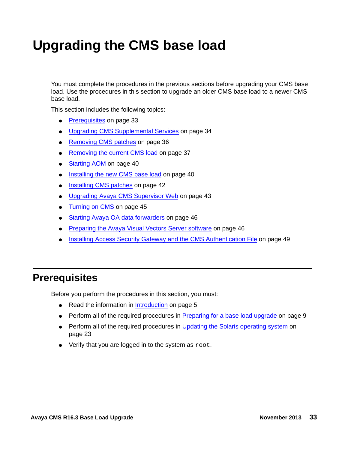# <span id="page-32-2"></span><span id="page-32-0"></span>**Upgrading the CMS base load**

You must complete the procedures in the previous sections before upgrading your CMS base load. Use the procedures in this section to upgrade an older CMS base load to a newer CMS base load.

This section includes the following topics:

- [Prerequisites](#page-32-1) on page 33
- [Upgrading CMS Supplemental Services](#page-33-0) on page 34
- [Removing CMS patches](#page-35-0) on page 36
- [Removing the current CMS load](#page-36-0) on page 37
- [Starting AOM](#page-39-0) on page 40
- [Installing the new CMS base load](#page-39-1) on page 40
- [Installing CMS patches](#page-41-0) on page 42
- [Upgrading Avaya CMS Supervisor Web](#page-42-0) on page 43
- [Turning on CMS](#page-44-0) on page 45
- [Starting Avaya OA data forwarders](#page-45-1) on page 46
- **[Preparing the Avaya Visual Vectors Server software](#page-45-2) on page 46**
- [Installing Access Security Gateway and the CMS Authentication File](#page-48-0) on page 49

## <span id="page-32-1"></span>**Prerequisites**

Before you perform the procedures in this section, you must:

- Read the information in [Introduction](#page-4-2) on page 5
- Perform all of the required procedures in [Preparing for a base load upgrade](#page-8-2) on page 9
- Perform all of the required procedures in [Updating the Solaris operating system](#page-22-2) on [page 23](#page-22-2)
- Verify that you are logged in to the system as root.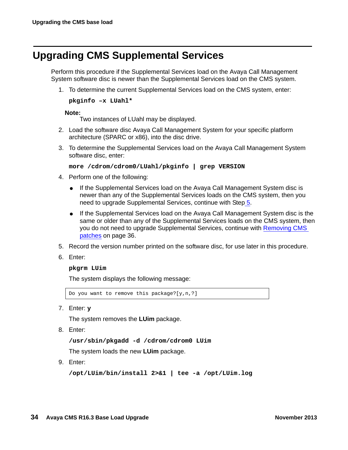## <span id="page-33-0"></span>**Upgrading CMS Supplemental Services**

Perform this procedure if the Supplemental Services load on the Avaya Call Management System software disc is newer than the Supplemental Services load on the CMS system.

1. To determine the current Supplemental Services load on the CMS system, enter:

```
pkginfo –x LUahl*
```
#### **Note:**

Two instances of LUahl may be displayed.

- 2. Load the software disc Avaya Call Management System for your specific platform architecture (SPARC or x86), into the disc drive.
- 3. To determine the Supplemental Services load on the Avaya Call Management System software disc, enter:

```
more /cdrom/cdrom0/LUahl/pkginfo | grep VERSION
```
- 4. Perform one of the following:
	- If the Supplemental Services load on the Avaya Call Management System disc is newer than any of the Supplemental Services loads on the CMS system, then you need to upgrade Supplemental Services, continue with Step [5](#page-33-1).
	- If the Supplemental Services load on the Avaya Call Management System disc is the same or older than any of the Supplemental Services loads on the CMS system, then you do not need to upgrade Supplemental Services, continue with [Removing CMS](#page-35-0)  patches [on page 36.](#page-35-0)
- <span id="page-33-1"></span>5. Record the version number printed on the software disc, for use later in this procedure.
- 6. Enter:

**pkgrm LUim**

The system displays the following message:

Do you want to remove this package?[y,n,?]

7. Enter: **y**

The system removes the **LUim** package.

8. Enter:

**/usr/sbin/pkgadd -d /cdrom/cdrom0 LUim**

The system loads the new **LUim** package.

9. Enter:

```
/opt/LUim/bin/install 2>&1 | tee -a /opt/LUim.log
```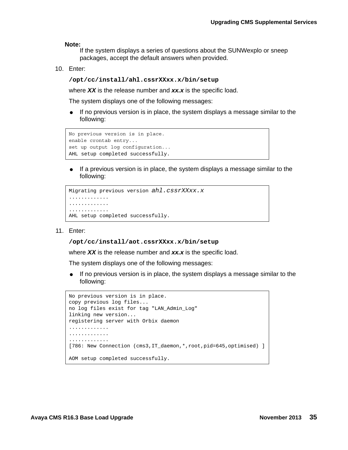**Note:**

If the system displays a series of questions about the SUNWexplo or sneep packages, accept the default answers when provided.

10. Enter:

**/opt/cc/install/ahl.cssrXXxx.x/bin/setup**

where *XX* is the release number and *xx.x* is the specific load.

The system displays one of the following messages:

If no previous version is in place, the system displays a message similar to the following:

```
No previous version is in place.
enable crontab entry...
set up output log configuration...
AHL setup completed successfully.
```
● If a previous version is in place, the system displays a message similar to the following:

```
Migrating previous version ahl.cssrXXxx.x
.............
.............
.............
AHL setup completed successfully.
```
11. Enter:

**/opt/cc/install/aot.cssrXXxx.x/bin/setup**

where *XX* is the release number and *xx.x* is the specific load.

The system displays one of the following messages:

● If no previous version is in place, the system displays a message similar to the following:

```
No previous version is in place.
copy previous log files...
no log files exist for tag "LAN_Admin_Log"
linking new version...
registering server with Orbix daemon
.............
.............
.............
[786: New Connection (cms3,IT_daemon,*,root,pid=645,optimised) ]
AOM setup completed successfully.
```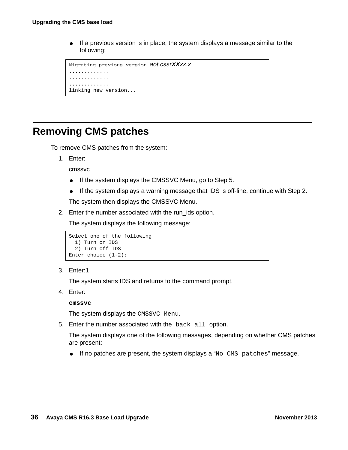● If a previous version is in place, the system displays a message similar to the following:

```
Migrating previous version aot.cssrXXxx.x
.............
.............
.............
linking new version...
```
## <span id="page-35-0"></span>**Removing CMS patches**

To remove CMS patches from the system:

1. Enter:

cmssvc

- If the system displays the CMSSVC Menu, go to Step 5.
- If the system displays a warning message that IDS is off-line, continue with Step 2.

The system then displays the CMSSVC Menu.

2. Enter the number associated with the run ids option.

The system displays the following message:

```
Select one of the following
  1) Turn on IDS
   2) Turn off IDS
Enter choice (1-2):
```
3. Enter:1

The system starts IDS and returns to the command prompt.

4. Enter:

**cmssvc**

The system displays the CMSSVC Menu.

5. Enter the number associated with the back\_all option.

The system displays one of the following messages, depending on whether CMS patches are present:

● If no patches are present, the system displays a "No CMS patches" message.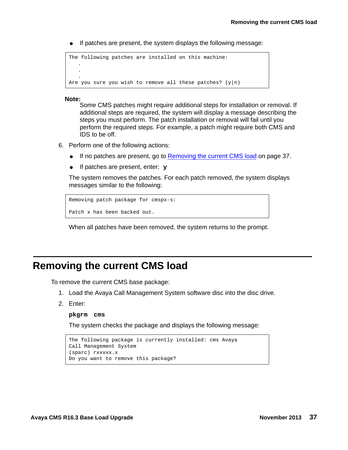● If patches are present, the system displays the following message:

```
The following patches are installed on this machine:
   .
   .
   .
Are you sure you wish to remove all these patches? (y|n)
```
#### **Note:**

Some CMS patches might require additional steps for installation or removal. If additional steps are required, the system will display a message describing the steps you must perform. The patch installation or removal will fail until you perform the required steps. For example, a patch might require both CMS and IDS to be off.

- 6. Perform one of the following actions:
	- If no patches are present, go to [Removing the current CMS load](#page-36-0) on page 37.
	- If patches are present, enter: **y**

The system removes the patches. For each patch removed, the system displays messages similar to the following:

```
Removing patch package for cmspx-s:
Patch x has been backed out.
```
When all patches have been removed, the system returns to the prompt.

## <span id="page-36-0"></span>**Removing the current CMS load**

To remove the current CMS base package:

- 1. Load the Avaya Call Management System software disc into the disc drive.
- 2. Enter:

#### **pkgrm cms**

The system checks the package and displays the following message:

```
The following package is currently installed: cms Avaya 
Call Management System
(sparc) rxxxxx.x
Do you want to remove this package?
```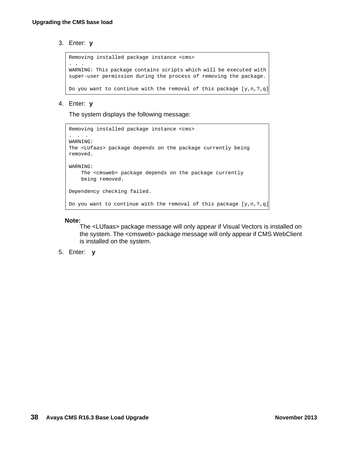3. Enter: **y**

```
Removing installed package instance <cms> 
. . . 
WARNING: This package contains scripts which will be executed with 
super-user permission during the process of removing the package. 
Do you want to continue with the removal of this package [y,n,?,q]
```
#### 4. Enter: **y**

The system displays the following message:

```
Removing installed package instance <cms>
...
WARNING:
The <LUfaas> package depends on the package currently being 
removed.
WARNING:
    The <cmsweb> package depends on the package currently
    being removed.
Dependency checking failed.
Do you want to continue with the removal of this package [y,n,?,q]
```
#### **Note:**

The <LUfaas> package message will only appear if Visual Vectors is installed on the system. The <cmsweb> package message will only appear if CMS WebClient is installed on the system.

5. Enter: **y**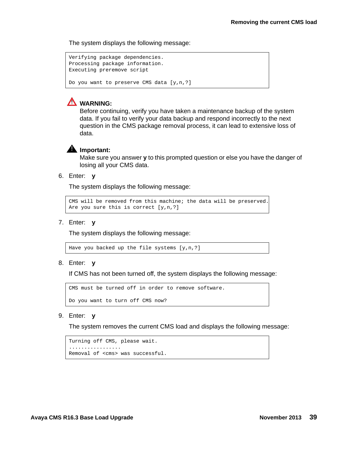The system displays the following message:

```
Verifying package dependencies.
Processing package information.
Executing preremove script
Do you want to preserve CMS data [y,n,?]
```
### ! **WARNING: !**

Before continuing, verify you have taken a maintenance backup of the system data. If you fail to verify your data backup and respond incorrectly to the next question in the CMS package removal process, it can lead to extensive loss of data.



Make sure you answer **y** to this prompted question or else you have the danger of losing all your CMS data.

6. Enter: **y**

The system displays the following message:

```
CMS will be removed from this machine; the data will be preserved.
Are you sure this is correct [y,n,?]
```
7. Enter: **y**

The system displays the following message:

```
Have you backed up the file systems [y,n,?]
```
8. Enter: **y**

If CMS has not been turned off, the system displays the following message:

CMS must be turned off in order to remove software. Do you want to turn off CMS now?

9. Enter: **y**

The system removes the current CMS load and displays the following message:

```
Turning off CMS, please wait.
.................
Removal of <cms> was successful.
```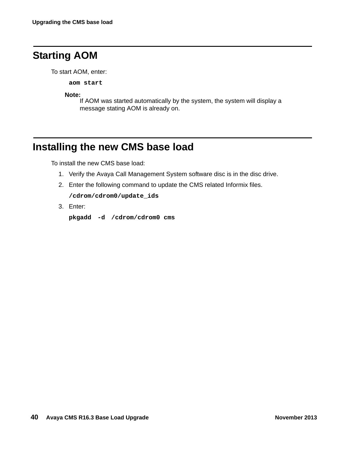## <span id="page-39-0"></span>**Starting AOM**

To start AOM, enter:

**aom start**

**Note:**

If AOM was started automatically by the system, the system will display a message stating AOM is already on.

## <span id="page-39-1"></span>**Installing the new CMS base load**

To install the new CMS base load:

- 1. Verify the Avaya Call Management System software disc is in the disc drive.
- 2. Enter the following command to update the CMS related Informix files.

**/cdrom/cdrom0/update\_ids**

3. Enter:

**pkgadd -d /cdrom/cdrom0 cms**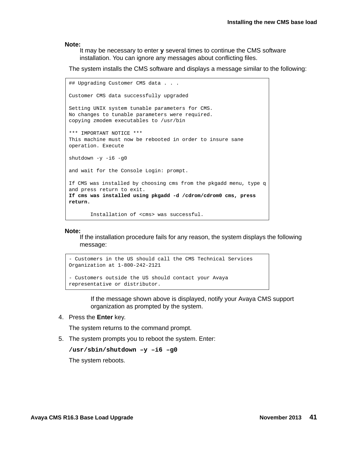**Note:**

It may be necessary to enter **y** several times to continue the CMS software installation. You can ignore any messages about conflicting files.

The system installs the CMS software and displays a message similar to the following:

```
## Upgrading Customer CMS data . . .
Customer CMS data successfully upgraded 
Setting UNIX system tunable parameters for CMS.
No changes to tunable parameters were required.
copying zmodem executables to /usr/bin
*** IMPORTANT NOTICE ***
This machine must now be rebooted in order to insure sane 
operation. Execute
shutdown -y -i6 -g0 
and wait for the Console Login: prompt.
If CMS was installed by choosing cms from the pkgadd menu, type q 
and press return to exit.
If cms was installed using pkgadd -d /cdrom/cdrom0 cms, press 
return.
       Installation of <cms> was successful.
```
#### **Note:**

If the installation procedure fails for any reason, the system displays the following message:

```
- Customers in the US should call the CMS Technical Services 
Organization at 1-800-242-2121
- Customers outside the US should contact your Avaya 
representative or distributor.
```
If the message shown above is displayed, notify your Avaya CMS support organization as prompted by the system.

#### 4. Press the **Enter** key.

The system returns to the command prompt.

5. The system prompts you to reboot the system. Enter:

**/usr/sbin/shutdown –y –i6 –g0**

The system reboots.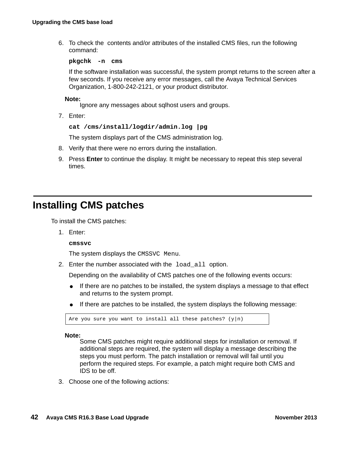6. To check the contents and/or attributes of the installed CMS files, run the following command:

**pkgchk -n cms**

If the software installation was successful, the system prompt returns to the screen after a few seconds. If you receive any error messages, call the Avaya Technical Services Organization, 1-800-242-2121, or your product distributor.

**Note:**

Ignore any messages about sqlhost users and groups.

7. Enter:

**cat /cms/install/logdir/admin.log |pg**

The system displays part of the CMS administration log.

- 8. Verify that there were no errors during the installation.
- 9. Press **Enter** to continue the display. It might be necessary to repeat this step several times.

## <span id="page-41-0"></span>**Installing CMS patches**

To install the CMS patches:

1. Enter:

**cmssvc**

The system displays the CMSSVC Menu.

2. Enter the number associated with the load all option.

Depending on the availability of CMS patches one of the following events occurs:

- If there are no patches to be installed, the system displays a message to that effect and returns to the system prompt.
- If there are patches to be installed, the system displays the following message:

```
Are you sure you want to install all these patches? (y|n)
```
**Note:**

Some CMS patches might require additional steps for installation or removal. If additional steps are required, the system will display a message describing the steps you must perform. The patch installation or removal will fail until you perform the required steps. For example, a patch might require both CMS and IDS to be off.

3. Choose one of the following actions: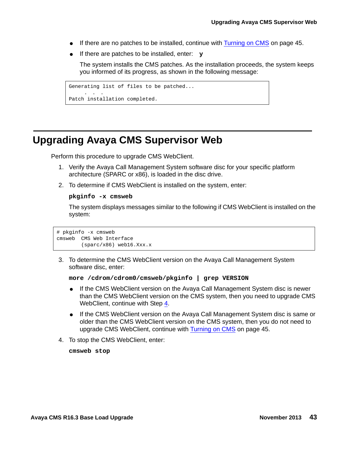- If there are no patches to be installed, continue with [Turning on CMS](#page-44-0) on page 45.
- If there are patches to be installed, enter: **y**

The system installs the CMS patches. As the installation proceeds, the system keeps you informed of its progress, as shown in the following message:

```
Generating list of files to be patched...
    ...
Patch installation completed.
```
## <span id="page-42-0"></span>**Upgrading Avaya CMS Supervisor Web**

Perform this procedure to upgrade CMS WebClient.

- 1. Verify the Avaya Call Management System software disc for your specific platform architecture (SPARC or x86), is loaded in the disc drive.
- 2. To determine if CMS WebClient is installed on the system, enter:

```
pkginfo -x cmsweb
```
The system displays messages similar to the following if CMS WebClient is installed on the system:

```
# pkginfo -x cmsweb
cmsweb CMS Web Interface
        (sparc/x86) web16.Xxx.x
```
3. To determine the CMS WebClient version on the Avaya Call Management System software disc, enter:

```
more /cdrom/cdrom0/cmsweb/pkginfo | grep VERSION
```
- If the CMS WebClient version on the Avaya Call Management System disc is newer than the CMS WebClient version on the CMS system, then you need to upgrade CMS WebClient, continue with Step [4](#page-42-1).
- If the CMS WebClient version on the Avaya Call Management System disc is same or older than the CMS WebClient version on the CMS system, then you do not need to upgrade CMS WebClient, continue with [Turning on CMS](#page-44-0) on page 45.
- <span id="page-42-1"></span>4. To stop the CMS WebClient, enter:

**cmsweb stop**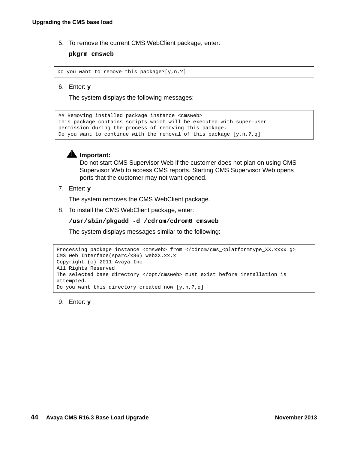5. To remove the current CMS WebClient package, enter:

**pkgrm cmsweb**

Do you want to remove this package?[y,n,?]

6. Enter: **y**

The system displays the following messages:

```
## Removing installed package instance <cmsweb>
This package contains scripts which will be executed with super-user
permission during the process of removing this package.
Do you want to continue with the removal of this package [y,n,?,q]
```


Do not start CMS Supervisor Web if the customer does not plan on using CMS Supervisor Web to access CMS reports. Starting CMS Supervisor Web opens ports that the customer may not want opened.

7. Enter: **y**

The system removes the CMS WebClient package.

8. To install the CMS WebClient package, enter:

**/usr/sbin/pkgadd -d /cdrom/cdrom0 cmsweb**

The system displays messages similar to the following:

```
Processing package instance <cmsweb> from </cdrom/cms_<platformtype_XX.xxxx.g>
CMS Web Interface(sparc/x86) webXX.xx.x
Copyright (c) 2011 Avaya Inc.
All Rights Reserved
The selected base directory </opt/cmsweb> must exist before installation is
attempted.
Do you want this directory created now [y,n,?,q]
```
9. Enter: **y**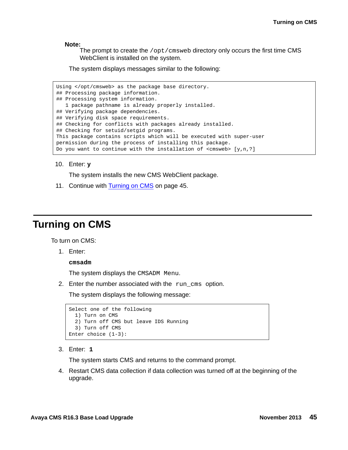**Note:**

The prompt to create the /opt/cmsweb directory only occurs the first time CMS WebClient is installed on the system.

The system displays messages similar to the following:

```
Using </opt/cmsweb> as the package base directory.
## Processing package information.
## Processing system information.
   1 package pathname is already properly installed.
## Verifying package dependencies.
## Verifying disk space requirements.
## Checking for conflicts with packages already installed.
## Checking for setuid/setgid programs.
This package contains scripts which will be executed with super-user
permission during the process of installing this package.
Do you want to continue with the installation of <cmsweb> [y,n,?)
```
10. Enter: **y**

The system installs the new CMS WebClient package.

11. Continue with [Turning on CMS](#page-44-0) on page 45.

## <span id="page-44-0"></span>**Turning on CMS**

To turn on CMS:

1. Enter:

**cmsadm**

The system displays the CMSADM Menu.

2. Enter the number associated with the run\_cms option.

The system displays the following message:

```
Select one of the following
  1) Turn on CMS
   2) Turn off CMS but leave IDS Running
  3) Turn off CMS 
Enter choice (1-3):
```
3. Enter: **1**

The system starts CMS and returns to the command prompt.

4. Restart CMS data collection if data collection was turned off at the beginning of the upgrade.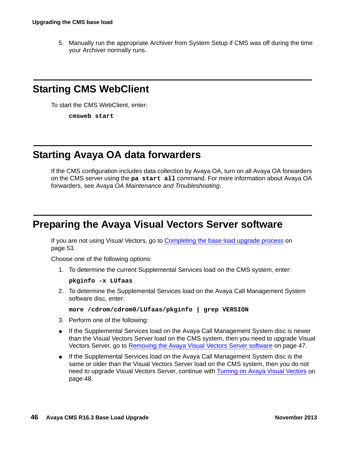5. Manually run the appropriate Archiver from System Setup if CMS was off during the time your Archiver normally runs.

## <span id="page-45-0"></span>**Starting CMS WebClient**

To start the CMS WebClient, enter:

**cmsweb start**

## <span id="page-45-1"></span>**Starting Avaya OA data forwarders**

If the CMS configuration includes data collection by Avaya OA, turn on all Avaya OA forwarders on the CMS server using the **pa start all** command. For more information about Avaya OA forwarders, see *Avaya OA Maintenance and Troubleshooting*.

## <span id="page-45-2"></span>**Preparing the Avaya Visual Vectors Server software**

If you are not using Visual Vectors, go to [Completing the base load upgrade process](#page-52-3) on [page 53.](#page-52-3)

Choose one of the following options:

1. To determine the current Supplemental Services load on the CMS system, enter:

```
pkginfo -x LUfaas
```
2. To determine the Supplemental Services load on the Avaya Call Management System software disc, enter:

```
more /cdrom/cdrom0/LUfaas/pkginfo | grep VERSION
```
- 3. Perform one of the following:
- If the Supplemental Services load on the Avaya Call Management System disc is newer than the Visual Vectors Server load on the CMS system, then you need to upgrade Visual Vectors Server, go to [Removing the Avaya Visual Vectors Server software](#page-46-0) on page 47.
- If the Supplemental Services load on the Avaya Call Management System disc is the same or older than the Visual Vectors Server load on the CMS system, then you do not need to upgrade Visual Vectors Server, continue with [Turning on Avaya Visual Vectors](#page-47-0) on [page 48.](#page-47-0)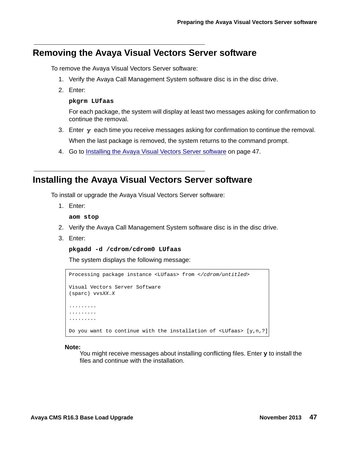### <span id="page-46-0"></span>**Removing the Avaya Visual Vectors Server software**

To remove the Avaya Visual Vectors Server software:

- 1. Verify the Avaya Call Management System software disc is in the disc drive.
- 2. Enter:

#### **pkgrm LUfaas**

For each package, the system will display at least two messages asking for confirmation to continue the removal.

- 3. Enter **y** each time you receive messages asking for confirmation to continue the removal. When the last package is removed, the system returns to the command prompt.
- 4. Go to [Installing the Avaya Visual Vectors Server software](#page-46-1) on page 47.

### <span id="page-46-1"></span>**Installing the Avaya Visual Vectors Server software**

To install or upgrade the Avaya Visual Vectors Server software:

1. Enter:

**aom stop**

- 2. Verify the Avaya Call Management System software disc is in the disc drive.
- 3. Enter:

**pkgadd -d /cdrom/cdrom0 LUfaas**

The system displays the following message:

```
Processing package instance <LUfaas> from </cdrom/untitled>
Visual Vectors Server Software
(sparc) vvsXX.X
.........
.........
.........
Do you want to continue with the installation of \text{LUfaas} > [y,n,?]
```
#### **Note:**

You might receive messages about installing conflicting files. Enter y to install the files and continue with the installation.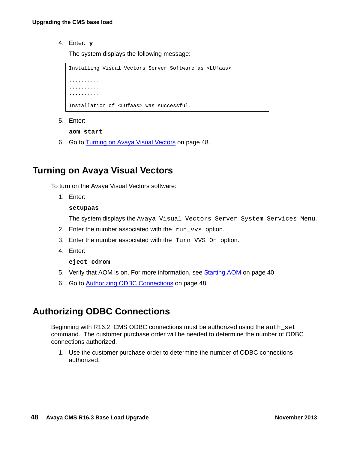4. Enter: **y**

The system displays the following message:

```
Installing Visual Vectors Server Software as <LUfaas>
..........
..........
..........
Installation of <LUfaas> was successful.
```
5. Enter:

**aom start**

6. Go to [Turning on Avaya Visual Vectors](#page-47-0) on page 48.

### <span id="page-47-0"></span>**Turning on Avaya Visual Vectors**

To turn on the Avaya Visual Vectors software:

1. Enter:

#### **setupaas**

The system displays the Avaya Visual Vectors Server System Services Menu.

- 2. Enter the number associated with the run vvs option.
- 3. Enter the number associated with the Turn VVS On option.
- 4. Enter:

**eject cdrom**

- 5. Verify that AOM is on. For more information, see [Starting AOM](#page-39-0) on page 40
- 6. Go to [Authorizing ODBC Connections](#page-47-1) on page 48.

### <span id="page-47-1"></span>**Authorizing ODBC Connections**

Beginning with R16.2, CMS ODBC connections must be authorized using the auth\_set command. The customer purchase order will be needed to determine the number of ODBC connections authorized.

1. Use the customer purchase order to determine the number of ODBC connections authorized.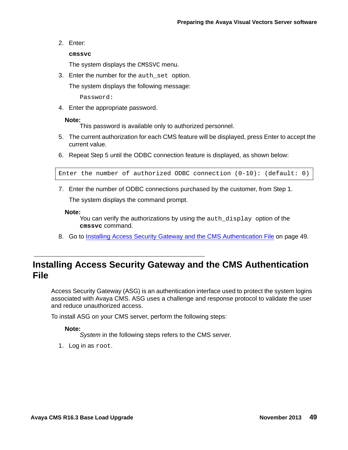2. Enter:

#### **cmssvc**

The system displays the CMSSVC menu.

3. Enter the number for the auth set option.

The system displays the following message:

Password:

4. Enter the appropriate password.

#### **Note:**

This password is available only to authorized personnel.

- 5. The current authorization for each CMS feature will be displayed, press Enter to accept the current value.
- 6. Repeat Step 5 until the ODBC connection feature is displayed, as shown below:

Enter the number of authorized ODBC connection  $(0-10)$ : (default: 0)

7. Enter the number of ODBC connections purchased by the customer, from Step 1. The system displays the command prompt.

#### **Note:**

You can verify the authorizations by using the auth\_display option of the **cmssvc** command.

8. Go to [Installing Access Security Gateway and the CMS Authentication File](#page-48-0) on page 49.

### <span id="page-48-0"></span>**Installing Access Security Gateway and the CMS Authentication File**

Access Security Gateway (ASG) is an authentication interface used to protect the system logins associated with Avaya CMS. ASG uses a challenge and response protocol to validate the user and reduce unauthorized access.

To install ASG on your CMS server, perform the following steps:

**Note:**

System in the following steps refers to the CMS server.

1. Log in as root.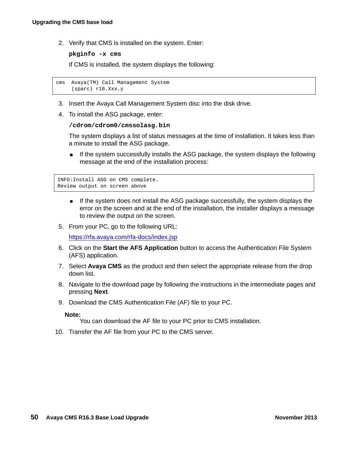2. Verify that CMS is installed on the system. Enter:

```
pkginfo -x cms
```
If CMS is installed, the system displays the following:

```
cms Avaya(TM) Call Management System
      (sparc) r16.Xxx.y
```
- 3. Insert the Avaya Call Management System disc into the disk drive.
- 4. To install the ASG package, enter:

#### **/cdrom/cdrom0/cmssolasg.bin**

The system displays a list of status messages at the time of installation. It takes less than a minute to install the ASG package.

● If the system successfully installs the ASG package, the system displays the following message at the end of the installation process:

```
INFO:Install ASG on CMS complete.
Review output on screen above
```
- If the system does not install the ASG package successfully, the system displays the error on the screen and at the end of the installation, the installer displays a message to review the output on the screen.
- 5. From your PC, go to the following URL:

<https://rfa.avaya.com/rfa-docs/index.jsp>

- 6. Click on the **Start the AFS Application** button to access the Authentication File System (AFS) application.
- 7. Select **Avaya CMS** as the product and then select the appropriate release from the drop down list.
- 8. Navigate to the download page by following the instructions in the intermediate pages and pressing **Next**.
- 9. Download the CMS Authentication File (AF) file to your PC.

**Note:**

You can download the AF file to your PC prior to CMS installation.

10. Transfer the AF file from your PC to the CMS server.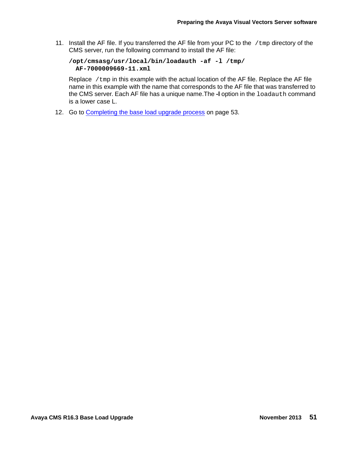11. Install the AF file. If you transferred the AF file from your PC to the /tmp directory of the CMS server, run the following command to install the AF file:

```
/opt/cmsasg/usr/local/bin/loadauth -af -l /tmp/
 AF-7000009669-11.xml
```
Replace /tmp in this example with the actual location of the AF file. Replace the AF file name in this example with the name that corresponds to the AF file that was transferred to the CMS server. Each AF file has a unique name.The **-l** option in the loadauth command is a lower case L.

12. Go to [Completing the base load upgrade process](#page-52-3) on page 53.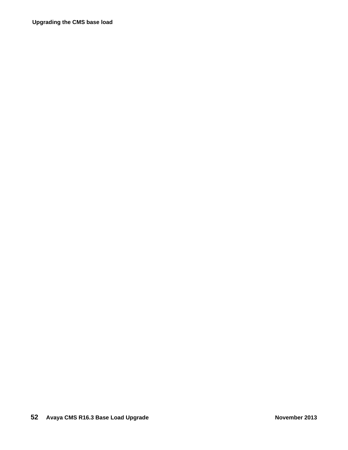**Upgrading the CMS base load**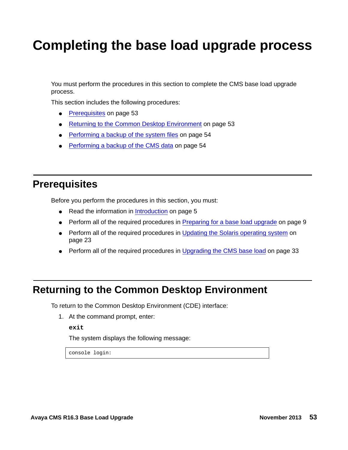# <span id="page-52-3"></span><span id="page-52-0"></span>**Completing the base load upgrade process**

You must perform the procedures in this section to complete the CMS base load upgrade process.

This section includes the following procedures:

- [Prerequisites](#page-52-1) on page 53
- [Returning to the Common Desktop Environment](#page-52-2) on page 53
- [Performing a backup of the system files](#page-53-0) on page 54
- **[Performing a backup of the CMS data](#page-53-1) on page 54**

### <span id="page-52-1"></span>**Prerequisites**

Before you perform the procedures in this section, you must:

- Read the information in [Introduction](#page-4-2) on page 5
- Perform all of the required procedures in [Preparing for a base load upgrade](#page-8-2) on page 9
- Perform all of the required procedures in [Updating the Solaris operating system](#page-22-2) on [page 23](#page-22-2)
- Perform all of the required procedures in [Upgrading the CMS base load](#page-32-2) on page 33

### <span id="page-52-2"></span>**Returning to the Common Desktop Environment**

To return to the Common Desktop Environment (CDE) interface:

1. At the command prompt, enter:

**exit**

The system displays the following message:

console login: